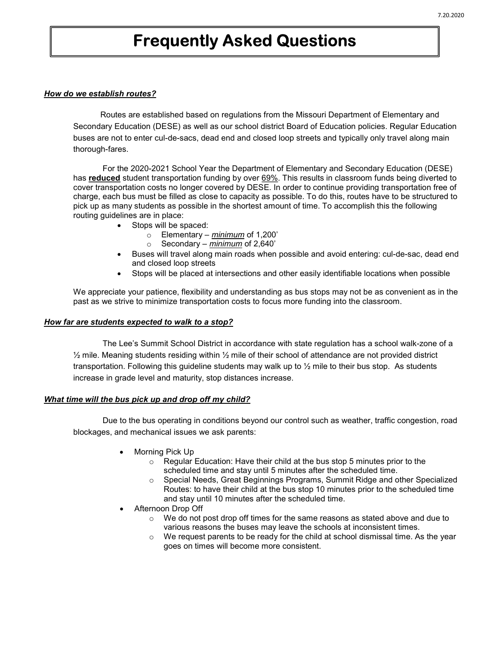# Frequently Asked Questions

#### How do we establish routes?

 Routes are established based on regulations from the Missouri Department of Elementary and Secondary Education (DESE) as well as our school district Board of Education policies. Regular Education buses are not to enter cul-de-sacs, dead end and closed loop streets and typically only travel along main thorough-fares.

For the 2020-2021 School Year the Department of Elementary and Secondary Education (DESE) has reduced student transportation funding by over 69%. This results in classroom funds being diverted to cover transportation costs no longer covered by DESE. In order to continue providing transportation free of charge, each bus must be filled as close to capacity as possible. To do this, routes have to be structured to pick up as many students as possible in the shortest amount of time. To accomplish this the following routing guidelines are in place:

- Stops will be spaced:
	- $\circ$  Elementary *minimum* of 1,200'
	- $\circ$  Secondary *minimum* of 2,640'
- Buses will travel along main roads when possible and avoid entering: cul-de-sac, dead end and closed loop streets
- Stops will be placed at intersections and other easily identifiable locations when possible

We appreciate your patience, flexibility and understanding as bus stops may not be as convenient as in the past as we strive to minimize transportation costs to focus more funding into the classroom.

#### How far are students expected to walk to a stop?

The Lee's Summit School District in accordance with state regulation has a school walk-zone of a  $\frac{1}{2}$  mile. Meaning students residing within  $\frac{1}{2}$  mile of their school of attendance are not provided district transportation. Following this guideline students may walk up to ½ mile to their bus stop. As students increase in grade level and maturity, stop distances increase.

## What time will the bus pick up and drop off my child?

Due to the bus operating in conditions beyond our control such as weather, traffic congestion, road blockages, and mechanical issues we ask parents:

- Morning Pick Up
	- o Regular Education: Have their child at the bus stop 5 minutes prior to the scheduled time and stay until 5 minutes after the scheduled time.
	- o Special Needs, Great Beginnings Programs, Summit Ridge and other Specialized Routes: to have their child at the bus stop 10 minutes prior to the scheduled time and stay until 10 minutes after the scheduled time.
- Afternoon Drop Off
	- $\circ$  We do not post drop off times for the same reasons as stated above and due to various reasons the buses may leave the schools at inconsistent times.
	- $\circ$  We request parents to be ready for the child at school dismissal time. As the year goes on times will become more consistent.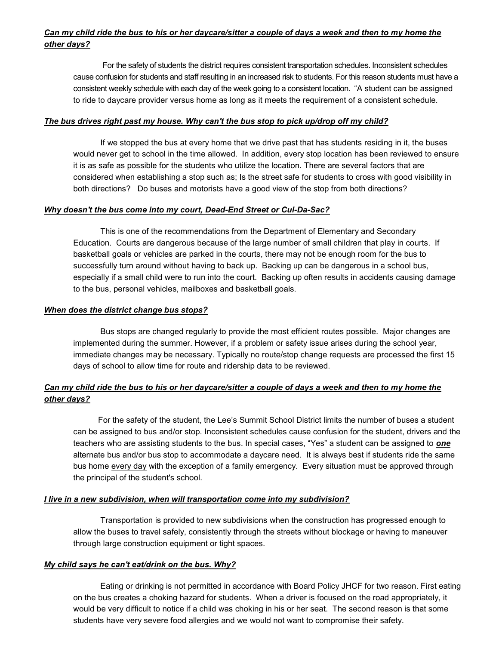# Can my child ride the bus to his or her daycare/sitter a couple of days a week and then to my home the other days?

For the safety of students the district requires consistent transportation schedules. Inconsistent schedules cause confusion for students and staff resulting in an increased risk to students. For this reason students must have a consistent weekly schedule with each day of the week going to a consistent location. "A student can be assigned to ride to daycare provider versus home as long as it meets the requirement of a consistent schedule.

#### The bus drives right past my house. Why can't the bus stop to pick up/drop off my child?

 If we stopped the bus at every home that we drive past that has students residing in it, the buses would never get to school in the time allowed. In addition, every stop location has been reviewed to ensure it is as safe as possible for the students who utilize the location. There are several factors that are considered when establishing a stop such as; Is the street safe for students to cross with good visibility in both directions? Do buses and motorists have a good view of the stop from both directions?

#### Why doesn't the bus come into my court, Dead-End Street or Cul-Da-Sac?

 This is one of the recommendations from the Department of Elementary and Secondary Education. Courts are dangerous because of the large number of small children that play in courts. If basketball goals or vehicles are parked in the courts, there may not be enough room for the bus to successfully turn around without having to back up. Backing up can be dangerous in a school bus, especially if a small child were to run into the court. Backing up often results in accidents causing damage to the bus, personal vehicles, mailboxes and basketball goals.

#### When does the district change bus stops?

 Bus stops are changed regularly to provide the most efficient routes possible. Major changes are implemented during the summer. However, if a problem or safety issue arises during the school year, immediate changes may be necessary. Typically no route/stop change requests are processed the first 15 days of school to allow time for route and ridership data to be reviewed.

# Can my child ride the bus to his or her daycare/sitter a couple of days a week and then to my home the other days?

 For the safety of the student, the Lee's Summit School District limits the number of buses a student can be assigned to bus and/or stop. Inconsistent schedules cause confusion for the student, drivers and the teachers who are assisting students to the bus. In special cases, "Yes" a student can be assigned to **one** alternate bus and/or bus stop to accommodate a daycare need. It is always best if students ride the same bus home every day with the exception of a family emergency. Every situation must be approved through the principal of the student's school.

## **I live in a new subdivision, when will transportation come into my subdivision?**

 Transportation is provided to new subdivisions when the construction has progressed enough to allow the buses to travel safely, consistently through the streets without blockage or having to maneuver through large construction equipment or tight spaces.

## My child says he can't eat/drink on the bus. Why?

 Eating or drinking is not permitted in accordance with Board Policy JHCF for two reason. First eating on the bus creates a choking hazard for students. When a driver is focused on the road appropriately, it would be very difficult to notice if a child was choking in his or her seat. The second reason is that some students have very severe food allergies and we would not want to compromise their safety.